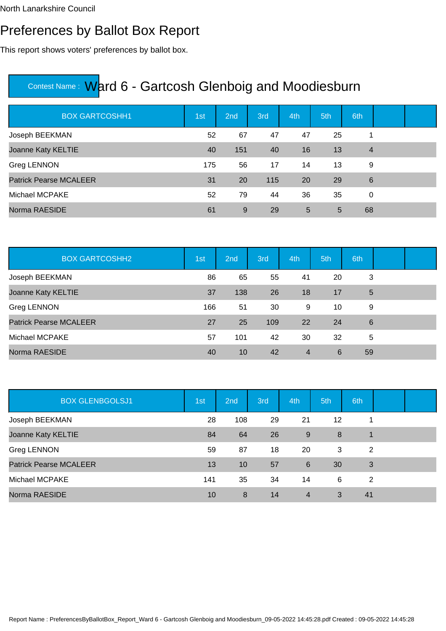North Lanarkshire Council

#### Preferences by Ballot Box Report

This report shows voters' preferences by ballot box.

| <b>BOX GARTCOSHH1</b>         | 1st | 2 <sub>nd</sub> | 3rd | 4th | 5th | 6th            |  |
|-------------------------------|-----|-----------------|-----|-----|-----|----------------|--|
| Joseph BEEKMAN                | 52  | 67              | 47  | 47  | 25  | 1              |  |
| Joanne Katy KELTIE            | 40  | 151             | 40  | 16  | 13  | $\overline{4}$ |  |
| <b>Greg LENNON</b>            | 175 | 56              | 17  | 14  | 13  | 9              |  |
| <b>Patrick Pearse MCALEER</b> | 31  | <b>20</b>       | 115 | 20  | 29  | 6              |  |
| Michael MCPAKE                | 52  | 79              | 44  | 36  | 35  | $\Omega$       |  |
| Norma RAESIDE                 | 61  | 9               | 29  | 5   | 5   | 68             |  |

| <b>BOX GARTCOSHH2</b>         | 1st | 2nd | 3rd | 4th            | 5th | 6th |  |
|-------------------------------|-----|-----|-----|----------------|-----|-----|--|
| Joseph BEEKMAN                | 86  | 65  | 55  | 41             | 20  | 3   |  |
| Joanne Katy KELTIE            | 37  | 138 | 26  | 18             | 17  | 5   |  |
| Greg LENNON                   | 166 | 51  | 30  | 9              | 10  | 9   |  |
| <b>Patrick Pearse MCALEER</b> | 27  | 25  | 109 | 22             | 24  | 6   |  |
| Michael MCPAKE                | 57  | 101 | 42  | 30             | 32  | 5   |  |
| Norma RAESIDE                 | 40  | 10  | 42  | $\overline{4}$ | 6   | 59  |  |

| <b>BOX GLENBGOLSJ1</b>        | 1st | 2nd | 3rd | 4th            | 5th | 6th |  |
|-------------------------------|-----|-----|-----|----------------|-----|-----|--|
| Joseph BEEKMAN                | 28  | 108 | 29  | 21             | 12  |     |  |
| Joanne Katy KELTIE            | 84  | 64  | 26  | 9              | 8   | 1   |  |
| <b>Greg LENNON</b>            | 59  | 87  | 18  | 20             | 3   | 2   |  |
| <b>Patrick Pearse MCALEER</b> | 13  | 10  | 57  | 6              | 30  | 3   |  |
| Michael MCPAKE                | 141 | 35  | 34  | 14             | 6   | 2   |  |
| Norma RAESIDE                 | 10  | 8   | 14  | $\overline{4}$ | 3   | 41  |  |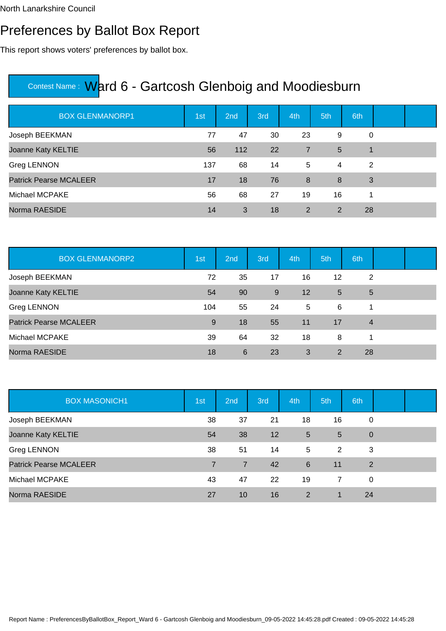### Preferences by Ballot Box Report

This report shows voters' preferences by ballot box.

| <b>BOX GLENMANORP1</b>        | 1st | 2nd | 3rd | 4th            | 5th            | 6th |  |
|-------------------------------|-----|-----|-----|----------------|----------------|-----|--|
| Joseph BEEKMAN                | 77  | 47  | 30  | 23             | 9              | 0   |  |
| Joanne Katy KELTIE            | 56  | 112 | 22  | $\overline{7}$ | 5              | 1   |  |
| Greg LENNON                   | 137 | 68  | 14  | 5              | $\overline{4}$ | 2   |  |
| <b>Patrick Pearse MCALEER</b> | 17  | 18  | 76  | 8              | 8              | 3   |  |
| Michael MCPAKE                | 56  | 68  | 27  | 19             | 16             | 1   |  |
| Norma RAESIDE                 | 14  | 3   | 18  | 2              | 2              | 28  |  |

| <b>BOX GLENMANORP2</b>        | 1st | 2nd | 3rd | 4th | 5th             | 6th            |  |
|-------------------------------|-----|-----|-----|-----|-----------------|----------------|--|
| Joseph BEEKMAN                | 72  | 35  | 17  | 16  | 12              | 2              |  |
| Joanne Katy KELTIE            | 54  | 90  | 9   | 12  | $5\overline{)}$ | 5              |  |
| Greg LENNON                   | 104 | 55  | 24  | 5   | 6               | 1              |  |
| <b>Patrick Pearse MCALEER</b> | 9   | 18  | 55  | 11  | 17              | $\overline{4}$ |  |
| Michael MCPAKE                | 39  | 64  | 32  | 18  | 8               | 1              |  |
| Norma RAESIDE                 | 18  | 6   | 23  | 3   | 2               | 28             |  |

| <b>BOX MASONICH1</b>          | 1st            | 2nd            | 3rd | 4th             | 5th            | 6th            |  |
|-------------------------------|----------------|----------------|-----|-----------------|----------------|----------------|--|
| Joseph BEEKMAN                | 38             | 37             | 21  | 18              | 16             | 0              |  |
| Joanne Katy KELTIE            | 54             | 38             | 12  | $5\phantom{.0}$ | 5              | $\mathbf 0$    |  |
| Greg LENNON                   | 38             | 51             | 14  | 5               | 2              | 3              |  |
| <b>Patrick Pearse MCALEER</b> | $\overline{7}$ | $\overline{7}$ | 42  | 6               | 11             | $\overline{2}$ |  |
| Michael MCPAKE                | 43             | 47             | 22  | 19              | $\overline{7}$ | 0              |  |
| Norma RAESIDE                 | 27             | 10             | 16  | 2               | $\overline{1}$ | 24             |  |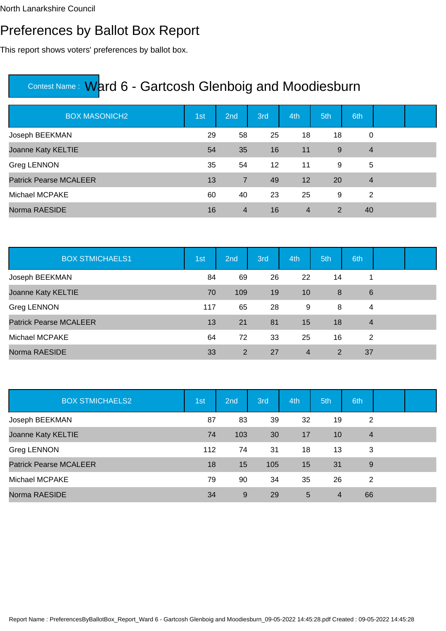### Preferences by Ballot Box Report

This report shows voters' preferences by ballot box.

| <b>BOX MASONICH2</b>          | 1st | 2nd            | 3rd               | 4th            | 5th | 6th            |  |
|-------------------------------|-----|----------------|-------------------|----------------|-----|----------------|--|
| Joseph BEEKMAN                | 29  | 58             | 25                | 18             | 18  | 0              |  |
| Joanne Katy KELTIE            | 54  | 35             | 16                | 11             | 9   | $\overline{4}$ |  |
| Greg LENNON                   | 35  | 54             | $12 \overline{ }$ | 11             | 9   | 5              |  |
| <b>Patrick Pearse MCALEER</b> | 13  | $\overline{7}$ | 49                | 12             | 20  | $\overline{4}$ |  |
| Michael MCPAKE                | 60  | 40             | 23                | 25             | 9   | 2              |  |
| Norma RAESIDE                 | 16  | $\overline{4}$ | 16                | $\overline{4}$ | 2   | 40             |  |

| <b>BOX STMICHAELS1</b>        | 1st | 2nd | 3rd | 4th            | 5th | 6th            |  |
|-------------------------------|-----|-----|-----|----------------|-----|----------------|--|
| Joseph BEEKMAN                | 84  | 69  | 26  | 22             | 14  |                |  |
| Joanne Katy KELTIE            | 70  | 109 | 19  | 10             | 8   | $6\phantom{1}$ |  |
| Greg LENNON                   | 117 | 65  | 28  | 9              | 8   | 4              |  |
| <b>Patrick Pearse MCALEER</b> | 13  | 21  | 81  | 15             | 18  | $\overline{4}$ |  |
| Michael MCPAKE                | 64  | 72  | 33  | 25             | 16  | 2              |  |
| Norma RAESIDE                 | 33  | 2   | 27  | $\overline{4}$ | 2   | 37             |  |

| <b>BOX STMICHAELS2</b>        | 1st | 2nd | 3rd | 4th | 5th            | 6th            |  |
|-------------------------------|-----|-----|-----|-----|----------------|----------------|--|
| Joseph BEEKMAN                | 87  | 83  | 39  | 32  | 19             | 2              |  |
| Joanne Katy KELTIE            | 74  | 103 | 30  | 17  | 10             | $\overline{4}$ |  |
| Greg LENNON                   | 112 | 74  | 31  | 18  | 13             | 3              |  |
| <b>Patrick Pearse MCALEER</b> | 18  | 15  | 105 | 15  | 31             | 9              |  |
| Michael MCPAKE                | 79  | 90  | 34  | 35  | 26             | 2              |  |
| Norma RAESIDE                 | 34  | 9   | 29  | 5   | $\overline{4}$ | 66             |  |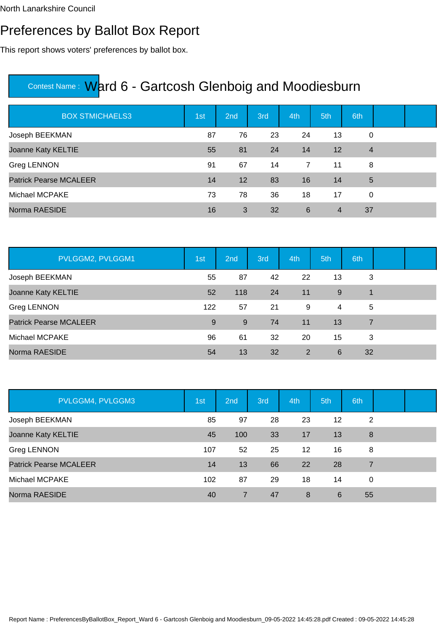### Preferences by Ballot Box Report

This report shows voters' preferences by ballot box.

| <b>BOX STMICHAELS3</b>        | 1st | 2nd               | 3rd | 4th | 5th            | 6th            |  |
|-------------------------------|-----|-------------------|-----|-----|----------------|----------------|--|
| Joseph BEEKMAN                | 87  | 76                | 23  | 24  | 13             | 0              |  |
| Joanne Katy KELTIE            | 55  | 81                | 24  | 14  | 12             | $\overline{4}$ |  |
| Greg LENNON                   | 91  | 67                | 14  | 7   | 11             | 8              |  |
| <b>Patrick Pearse MCALEER</b> | 14  | $12 \overline{ }$ | 83  | 16  | 14             | 5              |  |
| Michael MCPAKE                | 73  | 78                | 36  | 18  | 17             | 0              |  |
| Norma RAESIDE                 | 16  | 3                 | 32  | 6   | $\overline{4}$ | 37             |  |

| PVLGGM2, PVLGGM1              | 1st | 2nd | 3rd | 4th | 5th | 6th            |  |
|-------------------------------|-----|-----|-----|-----|-----|----------------|--|
| Joseph BEEKMAN                | 55  | 87  | 42  | 22  | 13  | 3              |  |
| Joanne Katy KELTIE            | 52  | 118 | 24  | 11  | 9   | 1              |  |
| Greg LENNON                   | 122 | 57  | 21  | 9   | 4   | 5              |  |
| <b>Patrick Pearse MCALEER</b> | 9   | 9   | 74  | 11  | 13  | $\overline{7}$ |  |
| Michael MCPAKE                | 96  | 61  | 32  | 20  | 15  | 3              |  |
| Norma RAESIDE                 | 54  | 13  | 32  | 2   | 6   | 32             |  |

| PVLGGM4, PVLGGM3              | 1st | 2nd | 3rd | 4th | 5th | 6th |  |
|-------------------------------|-----|-----|-----|-----|-----|-----|--|
| Joseph BEEKMAN                | 85  | 97  | 28  | 23  | 12  | 2   |  |
| Joanne Katy KELTIE            | 45  | 100 | 33  | 17  | 13  | 8   |  |
| Greg LENNON                   | 107 | 52  | 25  | 12  | 16  | 8   |  |
| <b>Patrick Pearse MCALEER</b> | 14  | 13  | 66  | 22  | 28  | 7   |  |
| Michael MCPAKE                | 102 | 87  | 29  | 18  | 14  | 0   |  |
| Norma RAESIDE                 | 40  | 7   | 47  | 8   | 6   | 55  |  |